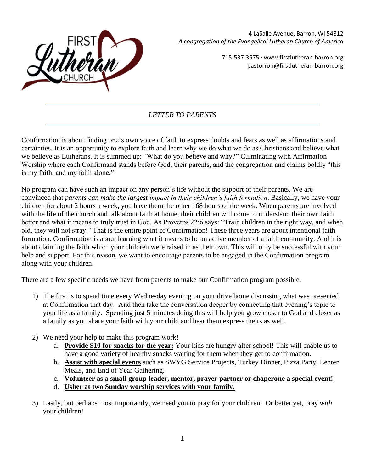

4 LaSalle Avenue, Barron, WI 54812 *A congregation of the Evangelical Lutheran Church of America*

> 715-537-3575 · www.firstlutheran-barron.org pastorron@firstlutheran-barron.org

## *LETTER TO PARENTS*

Confirmation is about finding one's own voice of faith to express doubts and fears as well as affirmations and certainties. It is an opportunity to explore faith and learn why we do what we do as Christians and believe what we believe as Lutherans. It is summed up: "What do you believe and why?" Culminating with Affirmation Worship where each Confirmand stands before God, their parents, and the congregation and claims boldly "this is my faith, and my faith alone."

No program can have such an impact on any person's life without the support of their parents. We are convinced that *parents can make the largest impact in their children's faith formation*. Basically, we have your children for about 2 hours a week, you have them the other 168 hours of the week. When parents are involved with the life of the church and talk about faith at home, their children will come to understand their own faith better and what it means to truly trust in God. As Proverbs 22:6 says: "Train children in the right way, and when old, they will not stray." That is the entire point of Confirmation! These three years are about intentional faith formation. Confirmation is about learning what it means to be an active member of a faith community. And it is about claiming the faith which your children were raised in as their own. This will only be successful with your help and support. For this reason, we want to encourage parents to be engaged in the Confirmation program along with your children.

There are a few specific needs we have from parents to make our Confirmation program possible.

- 1) The first is to spend time every Wednesday evening on your drive home discussing what was presented at Confirmation that day. And then take the conversation deeper by connecting that evening's topic to your life as a family. Spending just 5 minutes doing this will help you grow closer to God and closer as a family as you share your faith with your child and hear them express theirs as well.
- 2) We need your help to make this program work!
	- a. **Provide \$10 for snacks for the year:** Your kids are hungry after school! This will enable us to have a good variety of healthy snacks waiting for them when they get to confirmation.
	- b. **Assist with special events** such as SWYG Service Projects, Turkey Dinner, Pizza Party, Lenten Meals, and End of Year Gathering.
	- c. **Volunteer as a small group leader, mentor, prayer partner or chaperone a special event!**
	- d. **Usher at two Sunday worship services with your family.**
- 3) Lastly, but perhaps most importantly, we need you to pray for your children. Or better yet, pray *with* your children!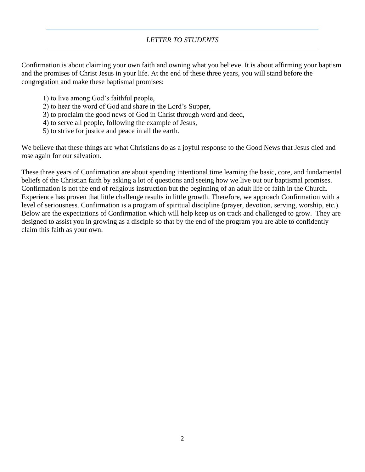## *LETTER TO STUDENTS*

Confirmation is about claiming your own faith and owning what you believe. It is about affirming your baptism and the promises of Christ Jesus in your life. At the end of these three years, you will stand before the congregation and make these baptismal promises:

- 1) to live among God's faithful people,
- 2) to hear the word of God and share in the Lord's Supper,
- 3) to proclaim the good news of God in Christ through word and deed,
- 4) to serve all people, following the example of Jesus,
- 5) to strive for justice and peace in all the earth.

We believe that these things are what Christians do as a joyful response to the Good News that Jesus died and rose again for our salvation.

These three years of Confirmation are about spending intentional time learning the basic, core, and fundamental beliefs of the Christian faith by asking a lot of questions and seeing how we live out our baptismal promises. Confirmation is not the end of religious instruction but the beginning of an adult life of faith in the Church. Experience has proven that little challenge results in little growth. Therefore, we approach Confirmation with a level of seriousness. Confirmation is a program of spiritual discipline (prayer, devotion, serving, worship, etc.). Below are the expectations of Confirmation which will help keep us on track and challenged to grow. They are designed to assist you in growing as a disciple so that by the end of the program you are able to confidently claim this faith as your own.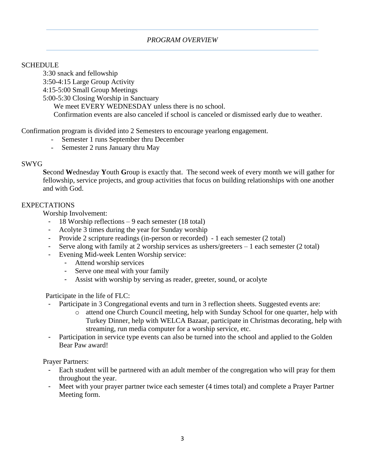## *PROGRAM OVERVIEW*

### **SCHEDULE**

3:30 snack and fellowship 3:50-4:15 Large Group Activity

4:15-5:00 Small Group Meetings

5:00-5:30 Closing Worship in Sanctuary

We meet EVERY WEDNESDAY unless there is no school.

Confirmation events are also canceled if school is canceled or dismissed early due to weather.

### Confirmation program is divided into 2 Semesters to encourage yearlong engagement.

- Semester 1 runs September thru December
- Semester 2 runs January thru May

### SWYG

**S**econd **W**ednesday **Y**outh **G**roup is exactly that. The second week of every month we will gather for fellowship, service projects, and group activities that focus on building relationships with one another and with God.

### EXPECTATIONS

Worship Involvement:

- 18 Worship reflections 9 each semester (18 total)
- Acolyte 3 times during the year for Sunday worship
- Provide 2 scripture readings (in-person or recorded) 1 each semester (2 total)
- Serve along with family at 2 worship services as ushers/greeters 1 each semester (2 total)
- Evening Mid-week Lenten Worship service:
	- Attend worship services
	- Serve one meal with your family
	- Assist with worship by serving as reader, greeter, sound, or acolyte

Participate in the life of FLC:

- Participate in 3 Congregational events and turn in 3 reflection sheets. Suggested events are:
	- o attend one Church Council meeting, help with Sunday School for one quarter, help with Turkey Dinner, help with WELCA Bazaar, participate in Christmas decorating, help with streaming, run media computer for a worship service, etc.
- Participation in service type events can also be turned into the school and applied to the Golden Bear Paw award!

Prayer Partners:

- Each student will be partnered with an adult member of the congregation who will pray for them throughout the year.
- Meet with your prayer partner twice each semester (4 times total) and complete a Prayer Partner Meeting form.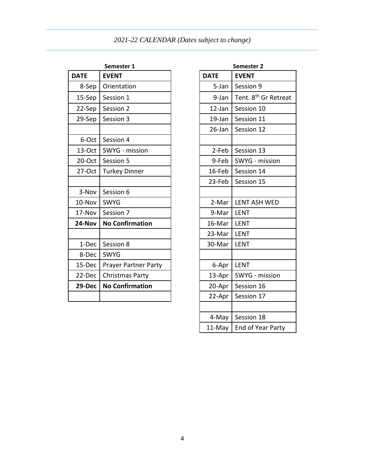# *2021-22 CALENDAR (Dates subject to change)*

| Semester 1  |                        | Semester Z              |                                  |  |
|-------------|------------------------|-------------------------|----------------------------------|--|
| <b>DATE</b> | <b>EVENT</b>           | <b>DATE</b>             | <b>EVENT</b>                     |  |
| 8-Sep       | Orientation            | 5-Jan                   | Session 9                        |  |
| 15-Sep      | Session 1              | 9-Jan                   | Tent. 8 <sup>th</sup> Gr Retreat |  |
| 22-Sep      | Session 2              | $12$ -Jan<br>Session 10 |                                  |  |
| 29-Sep      | Session 3              | $19$ -Jan               | Session 11                       |  |
|             |                        | 26-Jan                  | Session 12                       |  |
| 6-Oct       | Session 4              |                         |                                  |  |
| 13-Oct      | SWYG - mission         | 2-Feb                   | Session 13                       |  |
| 20-Oct      | Session 5              | 9-Feb                   | SWYG - mission                   |  |
| $27-Oct$    | <b>Turkey Dinner</b>   | 16-Feb                  | Session 14                       |  |
|             |                        | 23-Feb                  | Session 15                       |  |
| 3-Nov       | Session 6              |                         |                                  |  |
| 10-Nov      | <b>SWYG</b>            | 2-Mar                   | <b>LENT ASH WED</b>              |  |
| 17-Nov      | Session 7              | 9-Mar                   | <b>LENT</b>                      |  |
| 24-Nov      | <b>No Confirmation</b> | 16-Mar                  | <b>LENT</b>                      |  |
|             |                        | 23-Mar                  | <b>LENT</b>                      |  |
| 1-Dec       | Session 8              | 30-Mar                  | <b>LENT</b>                      |  |
| 8-Dec       | <b>SWYG</b>            |                         |                                  |  |
| 15-Dec      | Prayer Partner Party   | 6-Apr                   | <b>LENT</b>                      |  |
| 22-Dec      | <b>Christmas Party</b> | 13-Apr                  | SWYG - mission                   |  |
| 29-Dec      | <b>No Confirmation</b> | 20-Apr                  | Session 16                       |  |
|             |                        | 22-Apr                  | Session 17                       |  |

| Semester 1                  | Semester 2  |                                  |  |
|-----------------------------|-------------|----------------------------------|--|
| <b>EVENT</b>                | <b>DATE</b> | <b>EVENT</b>                     |  |
| <b>Drientation</b>          | 5-Jan       | Session 9                        |  |
| Session 1                   | 9-Jan       | Tent. 8 <sup>th</sup> Gr Retreat |  |
| Session 2                   | 12-Jan      | Session 10                       |  |
| Session 3                   | 19-Jan      | Session 11                       |  |
|                             | 26-Jan      | Session 12                       |  |
| Session 4                   |             |                                  |  |
| <b>SWYG</b> - mission       | 2-Feb       | Session 13                       |  |
| Session 5                   | 9-Feb       | SWYG - mission                   |  |
| <b>Furkey Dinner</b>        | 16-Feb      | Session 14                       |  |
|                             | 23-Feb      | Session 15                       |  |
| Session 6                   |             |                                  |  |
| <b>SWYG</b>                 | 2-Mar       | <b>LENT ASH WED</b>              |  |
| Session 7                   | 9-Mar       | <b>LENT</b>                      |  |
| <b>No Confirmation</b>      | 16-Mar      | <b>LENT</b>                      |  |
|                             | 23-Mar      | <b>LENT</b>                      |  |
| Session 8                   | 30-Mar      | <b>LENT</b>                      |  |
| <b>SWYG</b>                 |             |                                  |  |
| <b>Prayer Partner Party</b> | 6-Apr       | <b>LENT</b>                      |  |
| Christmas Party             | 13-Apr      | SWYG - mission                   |  |
| <b>No Confirmation</b>      | 20-Apr      | Session 16                       |  |
|                             | 22-Apr      | Session 17                       |  |
|                             |             |                                  |  |
|                             | 4-May       | Session 18                       |  |
|                             |             | 11-May   End of Year Party       |  |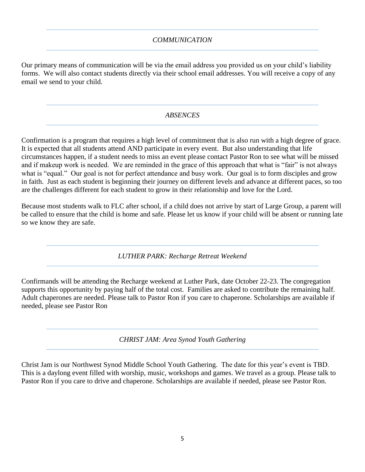### *COMMUNICATION*

Our primary means of communication will be via the email address you provided us on your child's liability forms. We will also contact students directly via their school email addresses. You will receive a copy of any email we send to your child.

### *ABSENCES*

Confirmation is a program that requires a high level of commitment that is also run with a high degree of grace. It is expected that all students attend AND participate in every event. But also understanding that life circumstances happen, if a student needs to miss an event please contact Pastor Ron to see what will be missed and if makeup work is needed. We are reminded in the grace of this approach that what is "fair" is not always what is "equal." Our goal is not for perfect attendance and busy work. Our goal is to form disciples and grow in faith. Just as each student is beginning their journey on different levels and advance at different paces, so too are the challenges different for each student to grow in their relationship and love for the Lord.

Because most students walk to FLC after school, if a child does not arrive by start of Large Group, a parent will be called to ensure that the child is home and safe. Please let us know if your child will be absent or running late so we know they are safe.

*LUTHER PARK: Recharge Retreat Weekend*

Confirmands will be attending the Recharge weekend at Luther Park, date October 22-23. The congregation supports this opportunity by paying half of the total cost. Families are asked to contribute the remaining half. Adult chaperones are needed. Please talk to Pastor Ron if you care to chaperone. Scholarships are available if needed, please see Pastor Ron

*CHRIST JAM: Area Synod Youth Gathering*

Christ Jam is our Northwest Synod Middle School Youth Gathering. The date for this year's event is TBD. This is a daylong event filled with worship, music, workshops and games. We travel as a group. Please talk to Pastor Ron if you care to drive and chaperone. Scholarships are available if needed, please see Pastor Ron.